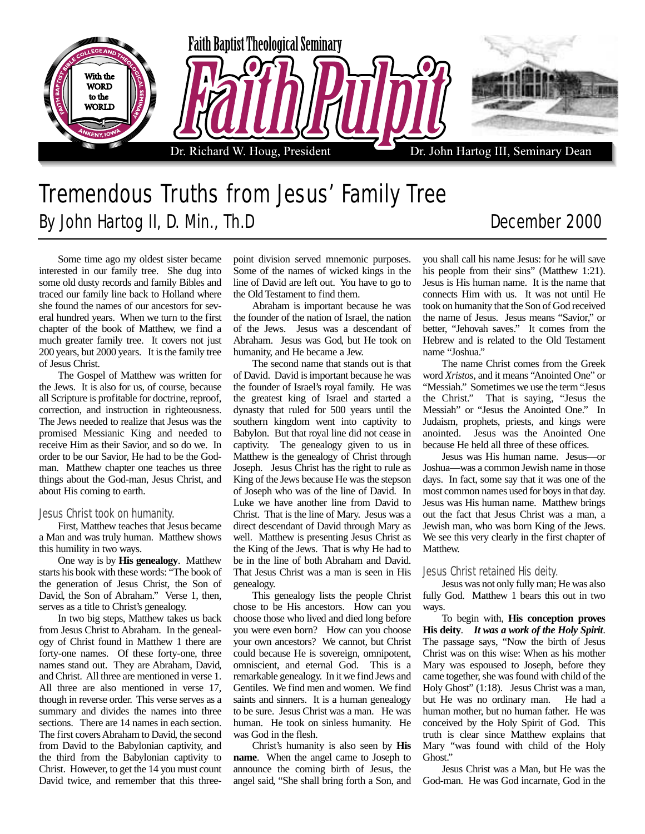

# Tremendous Truths from Jesus' Family Tree By John Hartog II, D. Min., Th.D December 2000

Some time ago my oldest sister became interested in our family tree. She dug into some old dusty records and family Bibles and traced our family line back to Holland where she found the names of our ancestors for several hundred years. When we turn to the first chapter of the book of Matthew, we find a much greater family tree. It covers not just 200 years, but 2000 years. It is the family tree of Jesus Christ.

The Gospel of Matthew was written for the Jews. It is also for us, of course, because all Scripture is profitable for doctrine, reproof, correction, and instruction in righteousness. The Jews needed to realize that Jesus was the promised Messianic King and needed to receive Him as their Savior, and so do we. In order to be our Savior, He had to be the Godman. Matthew chapter one teaches us three things about the God-man, Jesus Christ, and about His coming to earth.

#### Jesus Christ took on humanity.

First, Matthew teaches that Jesus became a Man and was truly human. Matthew shows this humility in two ways.

One way is by **His genealogy**. Matthew starts his book with these words: "The book of the generation of Jesus Christ, the Son of David, the Son of Abraham." Verse 1, then, serves as a title to Christ's genealogy.

In two big steps, Matthew takes us back from Jesus Christ to Abraham. In the genealogy of Christ found in Matthew 1 there are forty-one names. Of these forty-one, three names stand out. They are Abraham, David, and Christ. All three are mentioned in verse 1. All three are also mentioned in verse 17, though in reverse order. This verse serves as a summary and divides the names into three sections. There are 14 names in each section. The first covers Abraham to David, the second from David to the Babylonian captivity, and the third from the Babylonian captivity to Christ. However, to get the 14 you must count David twice, and remember that this threepoint division served mnemonic purposes. Some of the names of wicked kings in the line of David are left out. You have to go to the Old Testament to find them.

Abraham is important because he was the founder of the nation of Israel, the nation of the Jews. Jesus was a descendant of Abraham. Jesus was God, but He took on humanity, and He became a Jew.

The second name that stands out is that of David. David is important because he was the founder of Israel's royal family. He was the greatest king of Israel and started a dynasty that ruled for 500 years until the southern kingdom went into captivity to Babylon. But that royal line did not cease in captivity. The genealogy given to us in Matthew is the genealogy of Christ through Joseph. Jesus Christ has the right to rule as King of the Jews because He was the stepson of Joseph who was of the line of David. In Luke we have another line from David to Christ. That is the line of Mary. Jesus was a direct descendant of David through Mary as well. Matthew is presenting Jesus Christ as the King of the Jews. That is why He had to be in the line of both Abraham and David. That Jesus Christ was a man is seen in His genealogy.

This genealogy lists the people Christ chose to be His ancestors. How can you choose those who lived and died long before you were even born? How can you choose your own ancestors? We cannot, but Christ could because He is sovereign, omnipotent, omniscient, and eternal God. This is a remarkable genealogy. In it we find Jews and Gentiles. We find men and women. We find saints and sinners. It is a human genealogy to be sure. Jesus Christ was a man. He was human. He took on sinless humanity. He was God in the flesh.

Christ's humanity is also seen by **His name**. When the angel came to Joseph to announce the coming birth of Jesus, the angel said, "She shall bring forth a Son, and

you shall call his name Jesus: for he will save his people from their sins" (Matthew 1:21). Jesus is His human name. It is the name that connects Him with us. It was not until He took on humanity that the Son of God received the name of Jesus. Jesus means "Savior," or better, "Jehovah saves." It comes from the Hebrew and is related to the Old Testament name "Joshua."

The name Christ comes from the Greek word *Xristos*, and it means "Anointed One" or "Messiah." Sometimes we use the term "Jesus the Christ." That is saying, "Jesus the Messiah" or "Jesus the Anointed One." In Judaism, prophets, priests, and kings were anointed. Jesus was the Anointed One because He held all three of these offices.

Jesus was His human name. Jesus—or Joshua—was a common Jewish name in those days. In fact, some say that it was one of the most common names used for boys in that day. Jesus was His human name. Matthew brings out the fact that Jesus Christ was a man, a Jewish man, who was born King of the Jews. We see this very clearly in the first chapter of Matthew.

### Jesus Christ retained His deity.

Jesus was not only fully man; He was also fully God. Matthew 1 bears this out in two ways.

To begin with, **His conception proves His deity**. *It was a work of the Holy Spirit*. The passage says, "Now the birth of Jesus Christ was on this wise: When as his mother Mary was espoused to Joseph, before they came together, she was found with child of the Holy Ghost" (1:18). Jesus Christ was a man, but He was no ordinary man. He had a human mother, but no human father. He was conceived by the Holy Spirit of God. This truth is clear since Matthew explains that Mary "was found with child of the Holy Ghost."

Jesus Christ was a Man, but He was the God-man. He was God incarnate, God in the